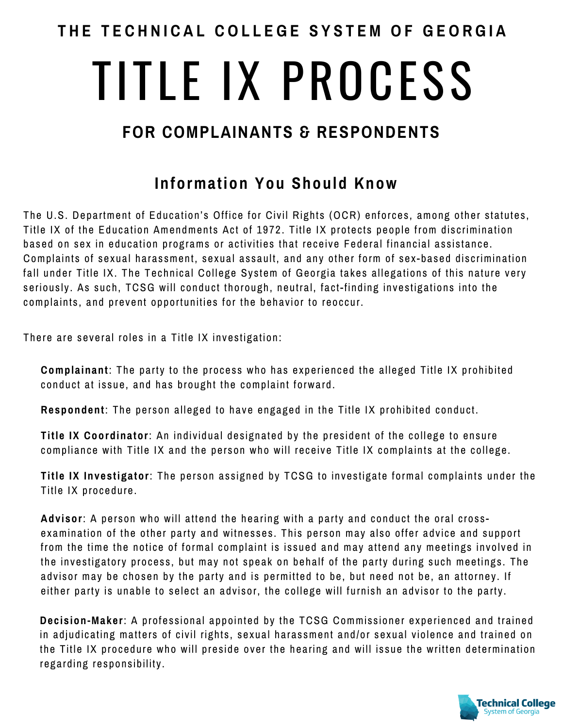### **T H E T E C H N I C A L C O L L E G E S Y S T E M O F G E O R G I A**

# TITLE IX PROCESS

## **FOR COMPLAINANTS & RESPONDENTS**

### **Information You Should Know**

 The U.S. Department of Education's Office for Civil Rights (OCR) enforces, among other statutes, Title IX of the Education Amendments Act of 1972. Title IX protects people from discrimination based on sex in education programs or activities that receive Federal financial assistance. Complaints of sexual harassment, sexual assault, and any other form of sex-based discrimination fall under Title IX. The Technical College System of Georgia takes allegations of this nature very seriously. As such, TCSG will conduct thorough, neutral, fact-finding investigations into the complaints, and prevent opportunities for the behavior to reoccur.

There are several roles in a Title IX investigation:

 **Complainant**: The party to the process who has experienced the alleged Title IX prohibited conduct at issue, and has brought the complaint forward.

**Respondent**: The person alleged to have engaged in the Title IX prohibited conduct.

 **Title IX Coordinator**: An individual designated by the president of the college to ensure compliance with Title IX and the person who will receive Title IX complaints at the college.

 **Title IX Investigator**: The person assigned by TCSG to investigate formal complaints under the Title IX procedure.

 **Advisor**: A person who will attend the hearing with a party and conduct the oral cross- examination of the other party and witnesses. This person may also offer advice and support from the time the notice of formal complaint is issued and may attend any meetings involved in the investigatory process, but may not speak on behalf of the party during such meetings. The advisor may be chosen by the party and is permitted to be, but need not be, an attorney. If either party is unable to select an advisor, the college will furnish an advisor to the party.

 **Decision-Maker**: A professional appointed by the TCSG Commissioner experienced and trained in adjudicating matters of civil rights, sexual harassment and/or sexual violence and trained on the Title IX procedure who will preside over the hearing and will issue the written determination regarding responsibility.